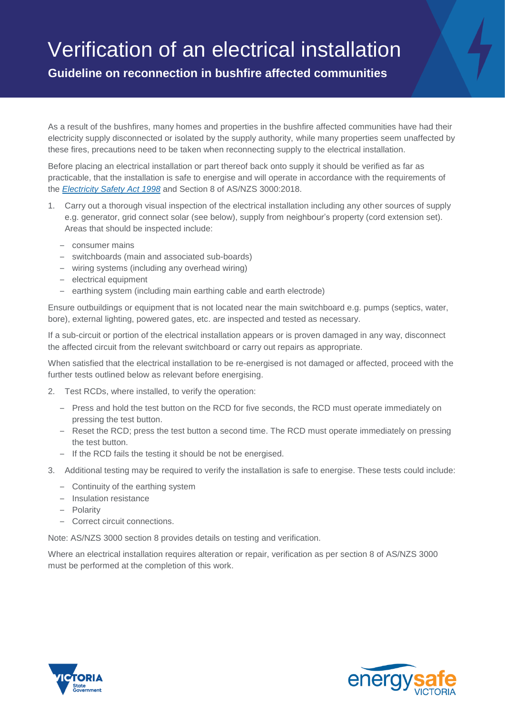## Verification of an electrical installation

**Guideline on reconnection in bushfire affected communities**

As a result of the bushfires, many homes and properties in the bushfire affected communities have had their electricity supply disconnected or isolated by the supply authority, while many properties seem unaffected by these fires, precautions need to be taken when reconnecting supply to the electrical installation.

Before placing an electrical installation or part thereof back onto supply it should be verified as far as practicable, that the installation is safe to energise and will operate in accordance with the requirements of the *[Electricity Safety Act 1998](http://www.austlii.edu.au/au/legis/vic/consol_act/esa1998209/)* and Section 8 of AS/NZS 3000:2018.

- 1. Carry out a thorough visual inspection of the electrical installation including any other sources of supply e.g. generator, grid connect solar (see below), supply from neighbour's property (cord extension set). Areas that should be inspected include:
	- consumer mains
	- switchboards (main and associated sub-boards)
	- wiring systems (including any overhead wiring)
	- electrical equipment
	- earthing system (including main earthing cable and earth electrode)

Ensure outbuildings or equipment that is not located near the main switchboard e.g. pumps (septics, water, bore), external lighting, powered gates, etc. are inspected and tested as necessary.

If a sub-circuit or portion of the electrical installation appears or is proven damaged in any way, disconnect the affected circuit from the relevant switchboard or carry out repairs as appropriate.

When satisfied that the electrical installation to be re-energised is not damaged or affected, proceed with the further tests outlined below as relevant before energising.

- 2. Test RCDs, where installed, to verify the operation:
	- Press and hold the test button on the RCD for five seconds, the RCD must operate immediately on pressing the test button.
	- Reset the RCD; press the test button a second time. The RCD must operate immediately on pressing the test button.
	- If the RCD fails the testing it should be not be energised.
- 3. Additional testing may be required to verify the installation is safe to energise. These tests could include:
	- Continuity of the earthing system
	- Insulation resistance
	- Polarity
	- Correct circuit connections.

Note: AS/NZS 3000 section 8 provides details on testing and verification.

Where an electrical installation requires alteration or repair, verification as per section 8 of AS/NZS 3000 must be performed at the completion of this work.